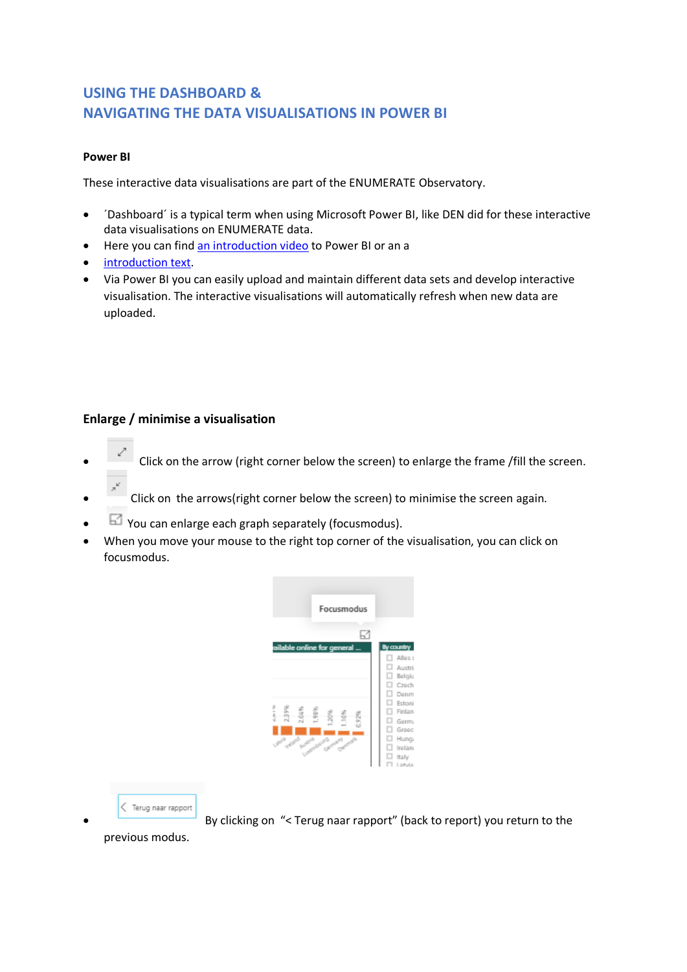# **USING THE DASHBOARD & NAVIGATING THE DATA VISUALISATIONS IN POWER BI**

#### **Power BI**

These interactive data visualisations are part of the ENUMERATE Observatory.

- ´Dashboard´ is a typical term when using Microsoft Power BI, like DEN did for these interactive data visualisations on ENUMERATE data.
- Here you can find [an introduction video](https://www.youtube.com/watch?v=p4rQzZpNMkI) to Power BI or an a
- [introduction text.](https://docs.microsoft.com/en-us/power-bi/power-bi-overview)
- Via Power BI you can easily upload and maintain different data sets and develop interactive visualisation. The interactive visualisations will automatically refresh when new data are uploaded.

#### **Enlarge / minimise a visualisation**

- Click on the arrow (right corner below the screen) to enlarge the frame /fill the screen.
- Click on the arrows(right corner below the screen) to minimise the screen again.
- $\boxdot$  You can enlarge each graph separately (focusmodus).
- When you move your mouse to the right top corner of the visualisation, you can click on focusmodus.





• By clicking on "< Terug naar rapport" (back to report) you return to the

previous modus.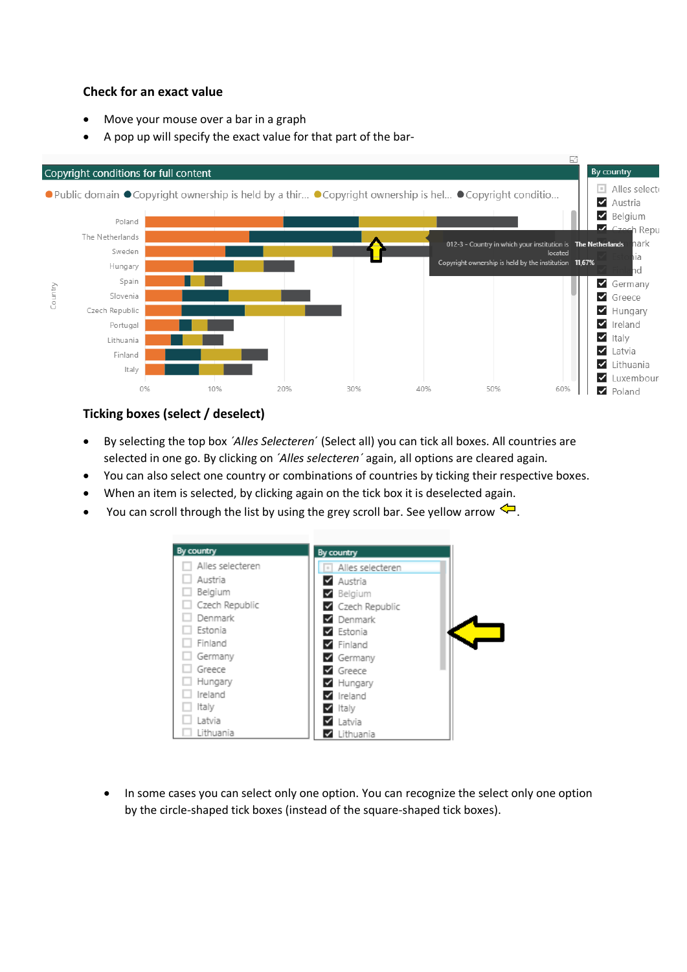## **Check for an exact value**

- Move your mouse over a bar in a graph
- A pop up will specify the exact value for that part of the bar-



## **Ticking boxes (select / deselect)**

- By selecting the top box *´Alles Selecteren*´ (Select all) you can tick all boxes. All countries are selected in one go. By clicking on *´Alles selecteren´* again, all options are cleared again.
- You can also select one country or combinations of countries by ticking their respective boxes.
- When an item is selected, by clicking again on the tick box it is deselected again.
- You can scroll through the list by using the grey scroll bar. See yellow arrow  $\leftarrow$ .



In some cases you can select only one option. You can recognize the select only one option by the circle-shaped tick boxes (instead of the square-shaped tick boxes).